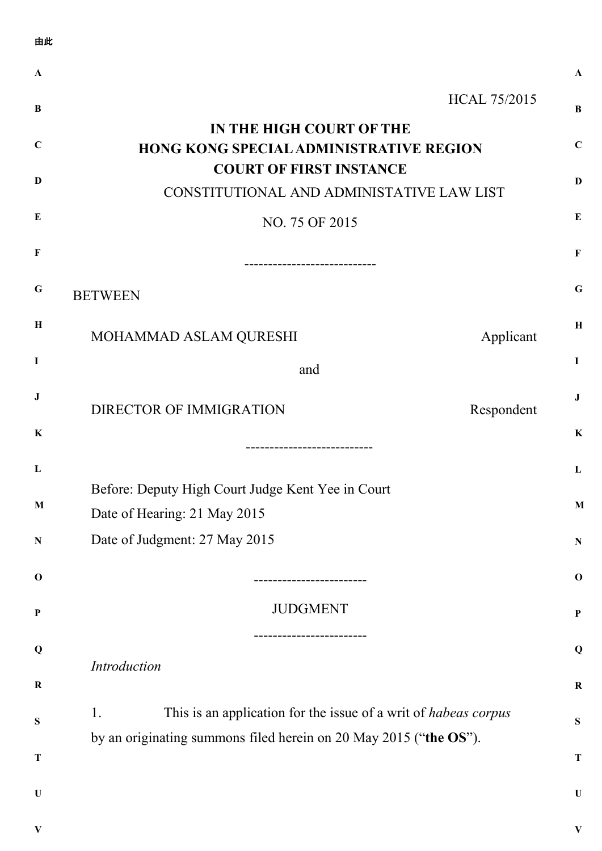| 由此                        |                                                                                                                                                   |              |  |  |
|---------------------------|---------------------------------------------------------------------------------------------------------------------------------------------------|--------------|--|--|
| $\mathbf A$               |                                                                                                                                                   |              |  |  |
| B                         |                                                                                                                                                   | HCAL 75/2015 |  |  |
| $\mathbf C$               | IN THE HIGH COURT OF THE<br>HONG KONG SPECIAL ADMINISTRATIVE REGION                                                                               |              |  |  |
| $\mathbf{D}$              | <b>COURT OF FIRST INSTANCE</b><br>CONSTITUTIONAL AND ADMINISTATIVE LAW LIST                                                                       |              |  |  |
| E                         | NO. 75 OF 2015                                                                                                                                    |              |  |  |
| F                         |                                                                                                                                                   |              |  |  |
| G                         | <b>BETWEEN</b>                                                                                                                                    |              |  |  |
| $\mathbf H$               | MOHAMMAD ASLAM QURESHI                                                                                                                            | Applicant    |  |  |
| I                         | and                                                                                                                                               |              |  |  |
| J                         | <b>DIRECTOR OF IMMIGRATION</b>                                                                                                                    | Respondent   |  |  |
| K                         |                                                                                                                                                   |              |  |  |
| L                         |                                                                                                                                                   |              |  |  |
| $\mathbf M$               | Before: Deputy High Court Judge Kent Yee in Court                                                                                                 |              |  |  |
| ${\bf N}$                 | Date of Hearing: 21 May 2015<br>Date of Judgment: 27 May 2015                                                                                     |              |  |  |
| $\mathbf 0$               |                                                                                                                                                   |              |  |  |
| $\boldsymbol{\mathrm{P}}$ | <b>JUDGMENT</b>                                                                                                                                   |              |  |  |
| Q                         |                                                                                                                                                   |              |  |  |
| $\bf R$                   | Introduction                                                                                                                                      |              |  |  |
| ${\bf S}$                 | This is an application for the issue of a writ of <i>habeas corpus</i><br>1.<br>by an originating summons filed herein on 20 May 2015 ("the OS"). |              |  |  |
| $\mathbf T$               |                                                                                                                                                   |              |  |  |
| $\mathbf U$               |                                                                                                                                                   |              |  |  |
| $\bf{V}$                  |                                                                                                                                                   |              |  |  |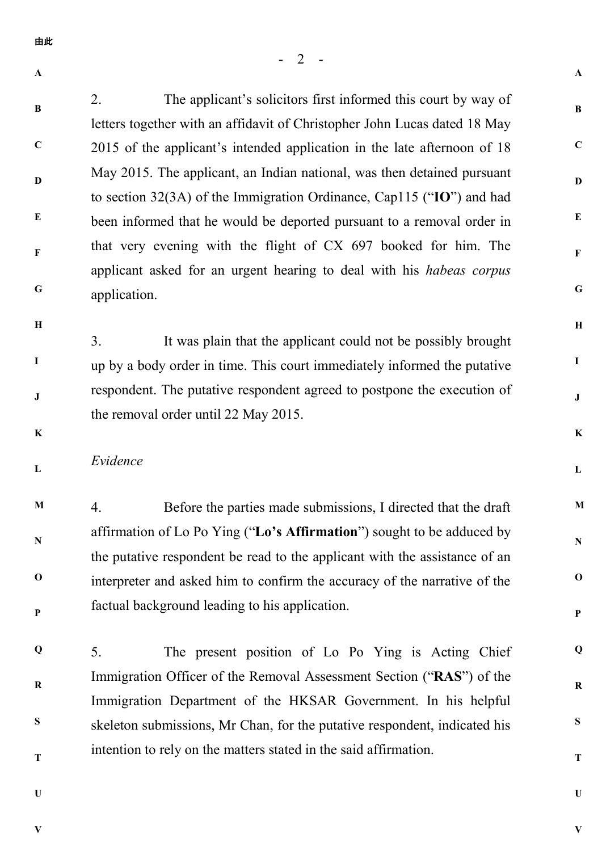**A**

**B**

**C**

**D**

**E**

**F**

**G**

**H**

**I**

**J**

2. The applicant's solicitors first informed this court by way of letters together with an affidavit of Christopher John Lucas dated 18 May 2015 of the applicant's intended application in the late afternoon of 18 May 2015. The applicant, an Indian national, was then detained pursuant to section 32(3A) of the Immigration Ordinance, Cap115 ("**IO**") and had been informed that he would be deported pursuant to a removal order in that very evening with the flight of CX 697 booked for him. The applicant asked for an urgent hearing to deal with his *habeas corpus* application.

3. It was plain that the applicant could not be possibly brought up by a body order in time. This court immediately informed the putative respondent. The putative respondent agreed to postpone the execution of the removal order until 22 May 2015.

**K**

**L**

## *Evidence*

**M N O P** 4. Before the parties made submissions, I directed that the draft affirmation of Lo Po Ying ("**Lo's Affirmation**") sought to be adduced by the putative respondent be read to the applicant with the assistance of an interpreter and asked him to confirm the accuracy of the narrative of the factual background leading to his application.

**Q R S T** 5. The present position of Lo Po Ying is Acting Chief Immigration Officer of the Removal Assessment Section ("**RAS**") of the Immigration Department of the HKSAR Government. In his helpful skeleton submissions, Mr Chan, for the putative respondent, indicated his intention to rely on the matters stated in the said affirmation.

**U**

**V**

**V**

**A**

**B**

**C**

**D**

**E**

**F**

**G**

**H**

**I**

**J**

**K**

**L**

**M**

**N**

**O**

**P**

**Q**

**R**

**S**

**T**

**U**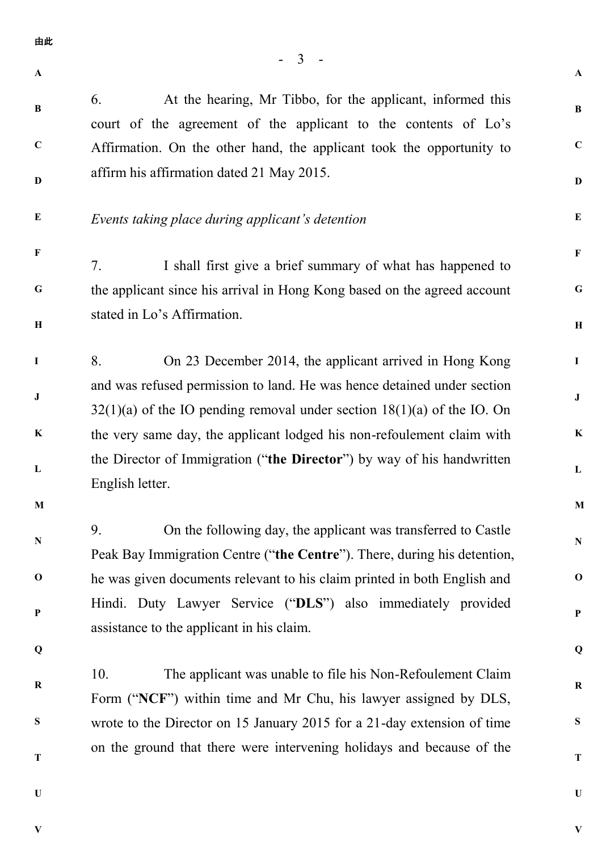- 3 - **A B C D E F G H I J K L M N O P Q R S T U A B C D E F G H I J K L M N O P Q R S T U** 由此 6. At the hearing, Mr Tibbo, for the applicant, informed this court of the agreement of the applicant to the contents of Lo's Affirmation. On the other hand, the applicant took the opportunity to affirm his affirmation dated 21 May 2015. *Events taking place during applicant's detention* 7. I shall first give a brief summary of what has happened to the applicant since his arrival in Hong Kong based on the agreed account stated in Lo's Affirmation. 8. On 23 December 2014, the applicant arrived in Hong Kong and was refused permission to land. He was hence detained under section  $32(1)(a)$  of the IO pending removal under section  $18(1)(a)$  of the IO. On the very same day, the applicant lodged his non-refoulement claim with the Director of Immigration ("**the Director**") by way of his handwritten English letter. 9. On the following day, the applicant was transferred to Castle Peak Bay Immigration Centre ("**the Centre**"). There, during his detention, he was given documents relevant to his claim printed in both English and Hindi. Duty Lawyer Service ("**DLS**") also immediately provided assistance to the applicant in his claim. 10. The applicant was unable to file his Non-Refoulement Claim Form ("**NCF**") within time and Mr Chu, his lawyer assigned by DLS, wrote to the Director on 15 January 2015 for a 21-day extension of time on the ground that there were intervening holidays and because of the

**V**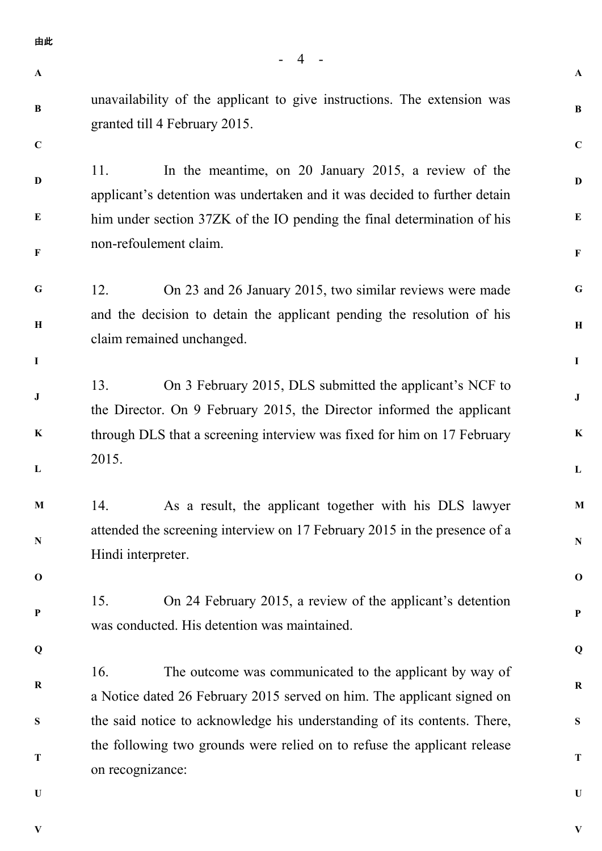**A**

**A**

**B**

**C**

**D**

**E**

**F**

**G**

**H**

**I**

**J**

**K**

**L**

**M**

**N**

**O**

**P**

**Q**

**R**

**S**

**T**

**U**

**V**

## **B C**

**I**

unavailability of the applicant to give instructions. The extension was granted till 4 February 2015.

**D E F** 11. In the meantime, on 20 January 2015, a review of the applicant's detention was undertaken and it was decided to further detain him under section 37ZK of the IO pending the final determination of his non-refoulement claim.

**G H** 12. On 23 and 26 January 2015, two similar reviews were made and the decision to detain the applicant pending the resolution of his claim remained unchanged.

**J K L** 13. On 3 February 2015, DLS submitted the applicant's NCF to the Director. On 9 February 2015, the Director informed the applicant through DLS that a screening interview was fixed for him on 17 February 2015.

**M N** 14. As a result, the applicant together with his DLS lawyer attended the screening interview on 17 February 2015 in the presence of a Hindi interpreter.

15. On 24 February 2015, a review of the applicant's detention was conducted. His detention was maintained.

**Q**

**O**

**P**

**R S T** 16. The outcome was communicated to the applicant by way of a Notice dated 26 February 2015 served on him. The applicant signed on the said notice to acknowledge his understanding of its contents. There, the following two grounds were relied on to refuse the applicant release on recognizance:

**U**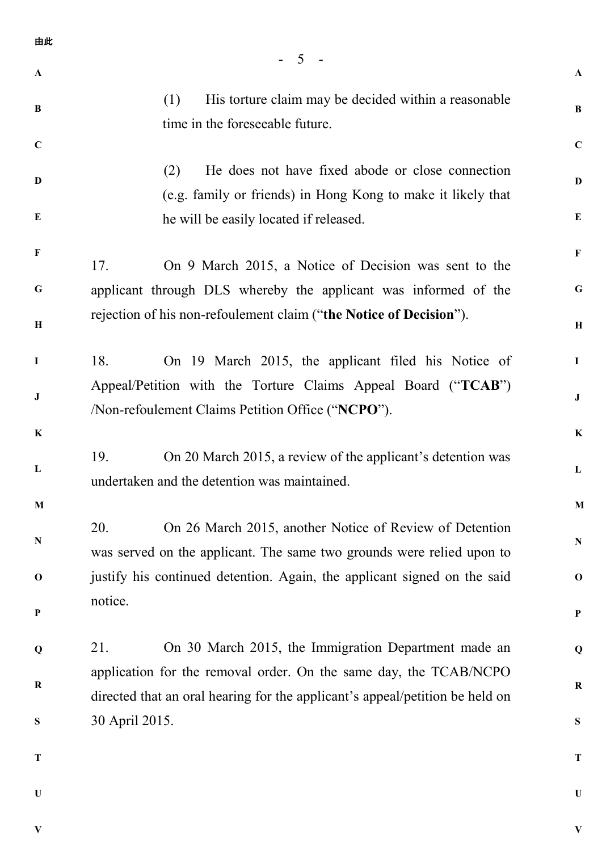| 由此           |                                                                                                                                                   |              |
|--------------|---------------------------------------------------------------------------------------------------------------------------------------------------|--------------|
| $\mathbf{A}$ | 5                                                                                                                                                 | $\mathbf{A}$ |
| B            | His torture claim may be decided within a reasonable<br>(1)<br>time in the foreseeable future.                                                    | B            |
| $\mathbf C$  |                                                                                                                                                   | $\mathbf C$  |
| D            | He does not have fixed abode or close connection<br>(2)<br>(e.g. family or friends) in Hong Kong to make it likely that                           | $\mathbf{D}$ |
| E            | he will be easily located if released.                                                                                                            | $\bf{E}$     |
| $\mathbf F$  | On 9 March 2015, a Notice of Decision was sent to the<br>17.                                                                                      | $\mathbf F$  |
| G            | applicant through DLS whereby the applicant was informed of the                                                                                   | $\mathbf G$  |
| H            | rejection of his non-refoulement claim ("the Notice of Decision").                                                                                |              |
| $\mathbf I$  | On 19 March 2015, the applicant filed his Notice of<br>18.                                                                                        | $\mathbf I$  |
| $\bf J$      | Appeal/Petition with the Torture Claims Appeal Board ("TCAB")<br>/Non-refoulement Claims Petition Office ("NCPO").                                |              |
| $\mathbf K$  |                                                                                                                                                   | $\bf K$      |
| L            | On 20 March 2015, a review of the applicant's detention was<br>19.<br>undertaken and the detention was maintained.                                | L            |
| M            |                                                                                                                                                   | $\mathbf{M}$ |
| N            | On 26 March 2015, another Notice of Review of Detention<br>20.<br>was served on the applicant. The same two grounds were relied upon to           | ${\bf N}$    |
| $\mathbf 0$  | justify his continued detention. Again, the applicant signed on the said                                                                          |              |
| $\mathbf{P}$ | notice.                                                                                                                                           | $\mathbf P$  |
| Q            | 21.<br>On 30 March 2015, the Immigration Department made an                                                                                       | Q            |
| $\bf R$      | application for the removal order. On the same day, the TCAB/NCPO<br>directed that an oral hearing for the applicant's appeal/petition be held on | ${\bf R}$    |
| S            | 30 April 2015.                                                                                                                                    | ${\bf S}$    |
| T            |                                                                                                                                                   | $\mathbf T$  |
| $\mathbf U$  |                                                                                                                                                   | $\mathbf U$  |
|              |                                                                                                                                                   |              |

**V**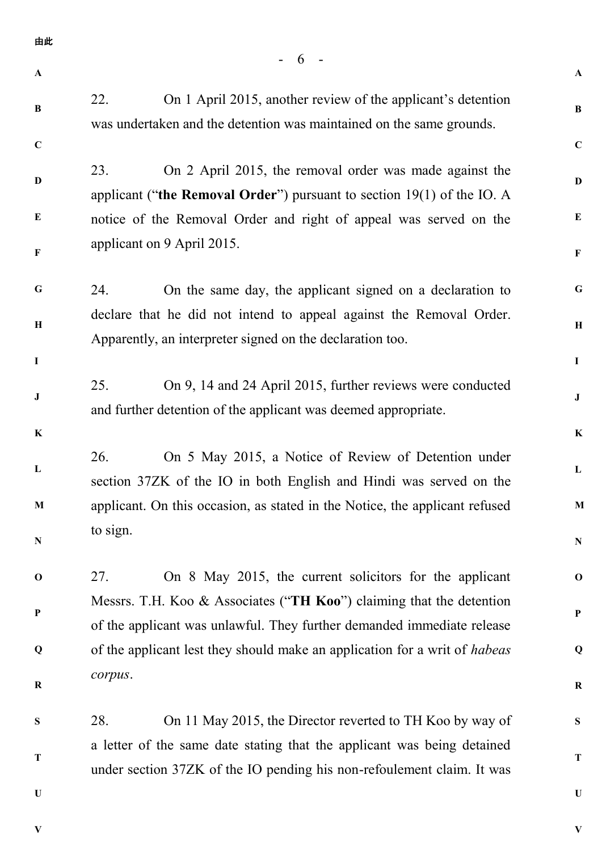| 由此           |                                                                                                                                                   |              |  |
|--------------|---------------------------------------------------------------------------------------------------------------------------------------------------|--------------|--|
| $\mathbf A$  | -6                                                                                                                                                | $\mathbf{A}$ |  |
| $\, {\bf B}$ | 22.<br>On 1 April 2015, another review of the applicant's detention<br>was undertaken and the detention was maintained on the same grounds.       | $\bf{B}$     |  |
| $\mathbf C$  |                                                                                                                                                   | $\mathbf C$  |  |
| D            | 23.<br>On 2 April 2015, the removal order was made against the<br>applicant ("the Removal Order") pursuant to section $19(1)$ of the IO. A        | $\mathbf D$  |  |
| E            | notice of the Removal Order and right of appeal was served on the                                                                                 |              |  |
| $\mathbf{F}$ | applicant on 9 April 2015.                                                                                                                        |              |  |
| $\mathbf G$  | 24.<br>On the same day, the applicant signed on a declaration to                                                                                  | $\mathbf G$  |  |
| $\, {\bf H}$ | declare that he did not intend to appeal against the Removal Order.<br>Apparently, an interpreter signed on the declaration too.                  |              |  |
| $\mathbf I$  |                                                                                                                                                   | $\mathbf I$  |  |
| J            | On 9, 14 and 24 April 2015, further reviews were conducted<br>25.<br>and further detention of the applicant was deemed appropriate.               | $\bf J$      |  |
| $\bf K$      |                                                                                                                                                   | $\bf K$      |  |
| L            | 26.<br>On 5 May 2015, a Notice of Review of Detention under<br>section 37ZK of the IO in both English and Hindi was served on the                 | $\mathbf L$  |  |
| $\mathbf M$  | applicant. On this occasion, as stated in the Notice, the applicant refused                                                                       |              |  |
| ${\bf N}$    | to sign.                                                                                                                                          | ${\bf N}$    |  |
| $\mathbf 0$  | 27.<br>On 8 May 2015, the current solicitors for the applicant                                                                                    | $\mathbf 0$  |  |
| ${\bf P}$    | Messrs. T.H. Koo & Associates ("TH Koo") claiming that the detention<br>of the applicant was unlawful. They further demanded immediate release    |              |  |
| Q            | of the applicant lest they should make an application for a writ of <i>habeas</i>                                                                 | Q            |  |
| ${\bf R}$    | corpus.                                                                                                                                           | $\bf R$      |  |
| ${\bf S}$    | On 11 May 2015, the Director reverted to TH Koo by way of<br>28.                                                                                  | S            |  |
| T            | a letter of the same date stating that the applicant was being detained<br>under section 37ZK of the IO pending his non-refoulement claim. It was |              |  |
| $\mathbf U$  |                                                                                                                                                   | $\mathbf U$  |  |

**V**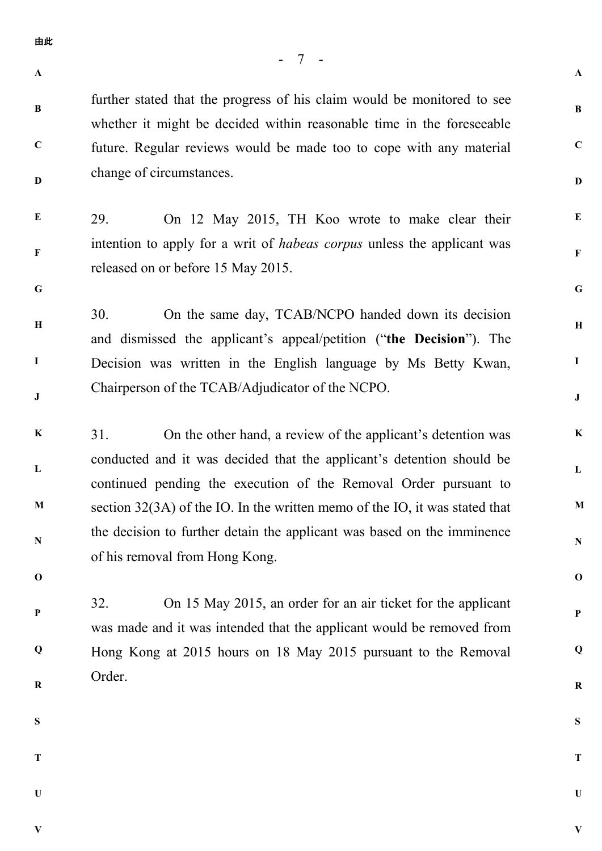**A**

**B**

**C**

**D**

**G**

**A**

**B**

**C**

**D**

**E**

**F**

**G**

**H**

**I**

**J**

**K**

**L**

**M**

**N**

**O**

**P**

**Q**

**R**

**S**

**T**

**U**

**V**

further stated that the progress of his claim would be monitored to see whether it might be decided within reasonable time in the foreseeable future. Regular reviews would be made too to cope with any material change of circumstances.

**E F** 29. On 12 May 2015, TH Koo wrote to make clear their intention to apply for a writ of *habeas corpus* unless the applicant was released on or before 15 May 2015.

**H I J** 30. On the same day, TCAB/NCPO handed down its decision and dismissed the applicant's appeal/petition ("**the Decision**"). The Decision was written in the English language by Ms Betty Kwan, Chairperson of the TCAB/Adjudicator of the NCPO.

**K L M N** 31. On the other hand, a review of the applicant's detention was conducted and it was decided that the applicant's detention should be continued pending the execution of the Removal Order pursuant to section 32(3A) of the IO. In the written memo of the IO, it was stated that the decision to further detain the applicant was based on the imminence of his removal from Hong Kong.

32. On 15 May 2015, an order for an air ticket for the applicant was made and it was intended that the applicant would be removed from Hong Kong at 2015 hours on 18 May 2015 pursuant to the Removal Order.

**S**

**O**

**P**

**Q**

**R**

**T**

**U**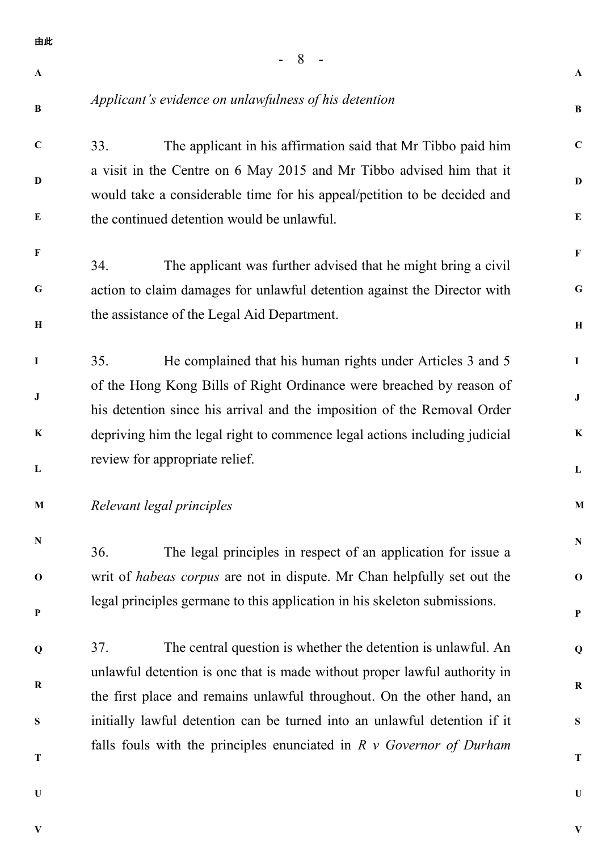- 8 - **A B C D E F G H I J K L M N O P Q R S T U A B C D E F G H I J K L M N O P Q R S T U** 由此 *Applicant's evidence on unlawfulness of his detention* 33. The applicant in his affirmation said that Mr Tibbo paid him a visit in the Centre on 6 May 2015 and Mr Tibbo advised him that it would take a considerable time for his appeal/petition to be decided and the continued detention would be unlawful. 34. The applicant was further advised that he might bring a civil action to claim damages for unlawful detention against the Director with the assistance of the Legal Aid Department. 35. He complained that his human rights under Articles 3 and 5 of the Hong Kong Bills of Right Ordinance were breached by reason of his detention since his arrival and the imposition of the Removal Order depriving him the legal right to commence legal actions including judicial review for appropriate relief. *Relevant legal principles* 36. The legal principles in respect of an application for issue a writ of *habeas corpus* are not in dispute. Mr Chan helpfully set out the legal principles germane to this application in his skeleton submissions. 37. The central question is whether the detention is unlawful. An unlawful detention is one that is made without proper lawful authority in the first place and remains unlawful throughout. On the other hand, an initially lawful detention can be turned into an unlawful detention if it falls fouls with the principles enunciated in *R v Governor of Durham* 

**V**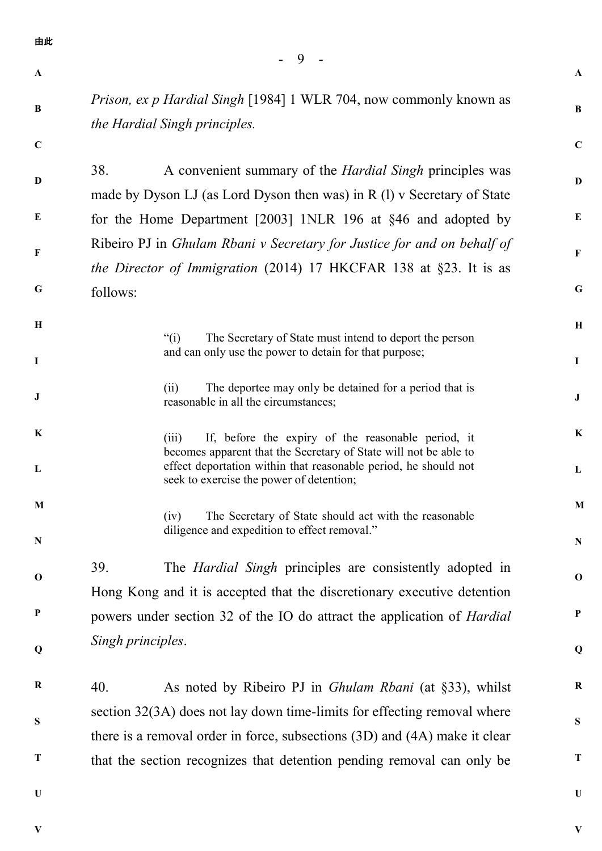- 9 - **A B C D E F G H I J K L M N O P Q R S T U A B C D E F G H I J K L M N O P Q R S T U** 由此 *Prison, ex p Hardial Singh* [1984] 1 WLR 704, now commonly known as *the Hardial Singh principles.* 38. A convenient summary of the *Hardial Singh* principles was made by Dyson LJ (as Lord Dyson then was) in R (l) v Secretary of State for the Home Department [2003] 1NLR 196 at §46 and adopted by Ribeiro PJ in *Ghulam Rbani v Secretary for Justice for and on behalf of the Director of Immigration* (2014) 17 HKCFAR 138 at §23. It is as follows: "(i) The Secretary of State must intend to deport the person and can only use the power to detain for that purpose; (ii) The deportee may only be detained for a period that is reasonable in all the circumstances; (iii) If, before the expiry of the reasonable period, it becomes apparent that the Secretary of State will not be able to effect deportation within that reasonable period, he should not seek to exercise the power of detention; (iv) The Secretary of State should act with the reasonable diligence and expedition to effect removal." 39. The *Hardial Singh* principles are consistently adopted in Hong Kong and it is accepted that the discretionary executive detention powers under section 32 of the IO do attract the application of *Hardial Singh principles*. 40. As noted by Ribeiro PJ in *Ghulam Rbani* (at §33), whilst section 32(3A) does not lay down time-limits for effecting removal where there is a removal order in force, subsections (3D) and (4A) make it clear that the section recognizes that detention pending removal can only be

**V**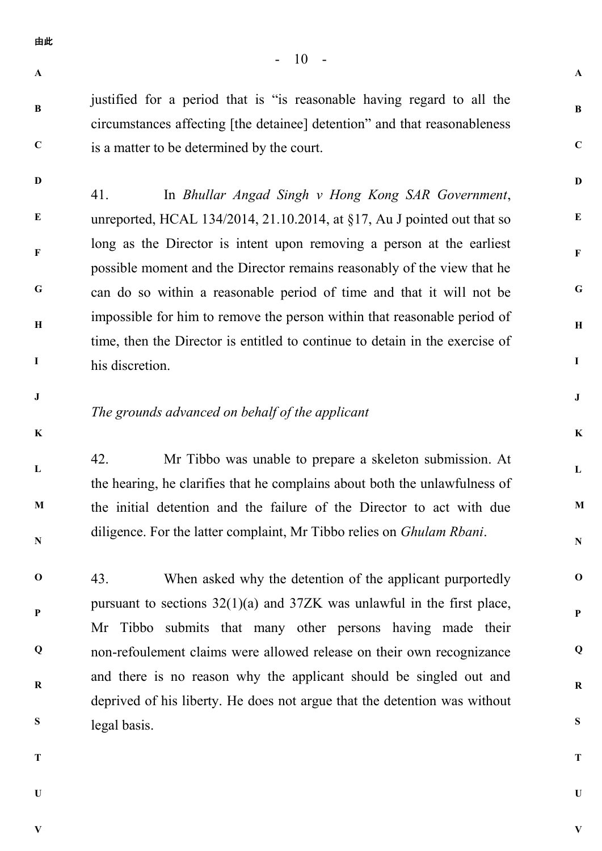**A**

**A**

**B**

**C**

**D**

**E**

**F**

**G**

**H**

**I**

**J**

**K**

**L**

**M**

**N**

**O**

**P**

**Q**

**R**

**S**

**B**

**C**

**D**

justified for a period that is "is reasonable having regard to all the circumstances affecting [the detainee] detention" and that reasonableness is a matter to be determined by the court.

**E F G H I** 41. In *Bhullar Angad Singh v Hong Kong SAR Government*, unreported, HCAL 134/2014, 21.10.2014, at §17, Au J pointed out that so long as the Director is intent upon removing a person at the earliest possible moment and the Director remains reasonably of the view that he can do so within a reasonable period of time and that it will not be impossible for him to remove the person within that reasonable period of time, then the Director is entitled to continue to detain in the exercise of his discretion.

**J**

**K**

**L**

**M**

**N**

## *The grounds advanced on behalf of the applicant*

42. Mr Tibbo was unable to prepare a skeleton submission. At the hearing, he clarifies that he complains about both the unlawfulness of the initial detention and the failure of the Director to act with due diligence. For the latter complaint, Mr Tibbo relies on *Ghulam Rbani*.

**O P Q R S** 43. When asked why the detention of the applicant purportedly pursuant to sections 32(1)(a) and 37ZK was unlawful in the first place, Mr Tibbo submits that many other persons having made their non-refoulement claims were allowed release on their own recognizance and there is no reason why the applicant should be singled out and deprived of his liberty. He does not argue that the detention was without legal basis.

**T**

**U**

**V**

**T U**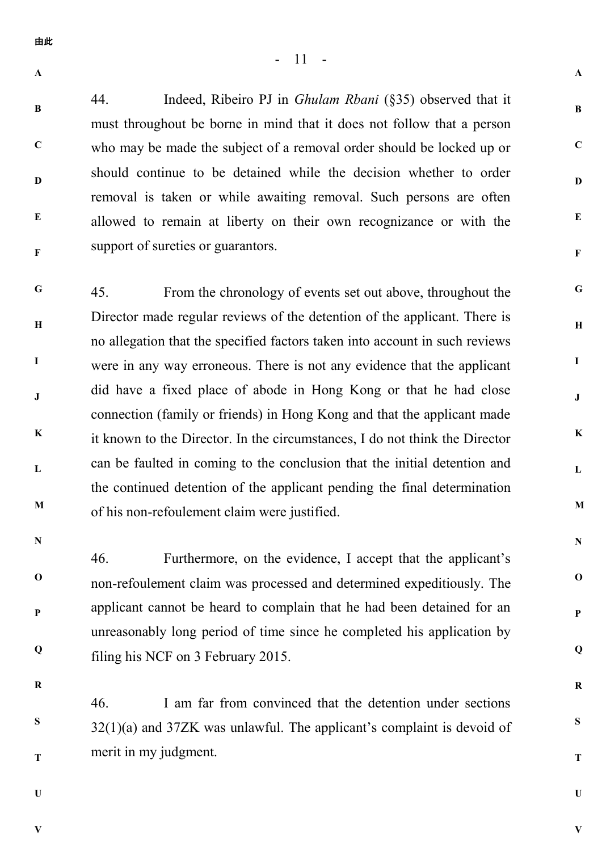44. Indeed, Ribeiro PJ in *Ghulam Rbani* (§35) observed that it must throughout be borne in mind that it does not follow that a person who may be made the subject of a removal order should be locked up or should continue to be detained while the decision whether to order removal is taken or while awaiting removal. Such persons are often allowed to remain at liberty on their own recognizance or with the support of sureties or guarantors.

**G H I J K L M** 45. From the chronology of events set out above, throughout the Director made regular reviews of the detention of the applicant. There is no allegation that the specified factors taken into account in such reviews were in any way erroneous. There is not any evidence that the applicant did have a fixed place of abode in Hong Kong or that he had close connection (family or friends) in Hong Kong and that the applicant made it known to the Director. In the circumstances, I do not think the Director can be faulted in coming to the conclusion that the initial detention and the continued detention of the applicant pending the final determination of his non-refoulement claim were justified.

**N**

**O**

**P**

**Q**

46. Furthermore, on the evidence, I accept that the applicant's non-refoulement claim was processed and determined expeditiously. The applicant cannot be heard to complain that he had been detained for an unreasonably long period of time since he completed his application by filing his NCF on 3 February 2015.

**R**

**S**

**T**

46. I am far from convinced that the detention under sections 32(1)(a) and 37ZK was unlawful. The applicant's complaint is devoid of merit in my judgment.

**U**

**V**

**V**

**A**

**B**

**C**

**D**

**E**

**F**

**A**

**B**

**C**

**D**

**E**

**F**

**G**

**H**

**I**

**J**

**K**

**L**

**M**

**N**

**O**

**P**

**Q**

**R**

**S**

**T**

**U**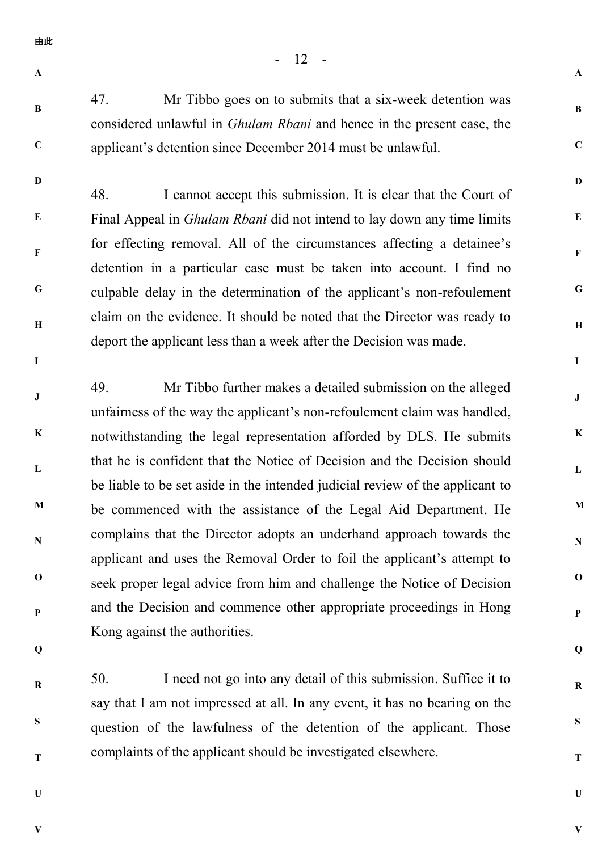- **A**
- **B**

**C**

**D**

**I**

47. Mr Tibbo goes on to submits that a six-week detention was considered unlawful in *Ghulam Rbani* and hence in the present case, the applicant's detention since December 2014 must be unlawful.

- 12 -

**A**

**B**

**C**

**D**

**E**

**F**

**G**

**H**

**I**

**J**

**K**

**L**

**M**

**N**

**O**

**P**

**Q**

**R**

**S**

**T**

**U**

**V**

**E F G H** 48. I cannot accept this submission. It is clear that the Court of Final Appeal in *Ghulam Rbani* did not intend to lay down any time limits for effecting removal. All of the circumstances affecting a detainee's detention in a particular case must be taken into account. I find no culpable delay in the determination of the applicant's non-refoulement claim on the evidence. It should be noted that the Director was ready to deport the applicant less than a week after the Decision was made.

**J K L M N O P** 49. Mr Tibbo further makes a detailed submission on the alleged unfairness of the way the applicant's non-refoulement claim was handled, notwithstanding the legal representation afforded by DLS. He submits that he is confident that the Notice of Decision and the Decision should be liable to be set aside in the intended judicial review of the applicant to be commenced with the assistance of the Legal Aid Department. He complains that the Director adopts an underhand approach towards the applicant and uses the Removal Order to foil the applicant's attempt to seek proper legal advice from him and challenge the Notice of Decision and the Decision and commence other appropriate proceedings in Hong Kong against the authorities.

**Q**

**R**

**S**

**T**

50. I need not go into any detail of this submission. Suffice it to say that I am not impressed at all. In any event, it has no bearing on the question of the lawfulness of the detention of the applicant. Those complaints of the applicant should be investigated elsewhere.

**U**